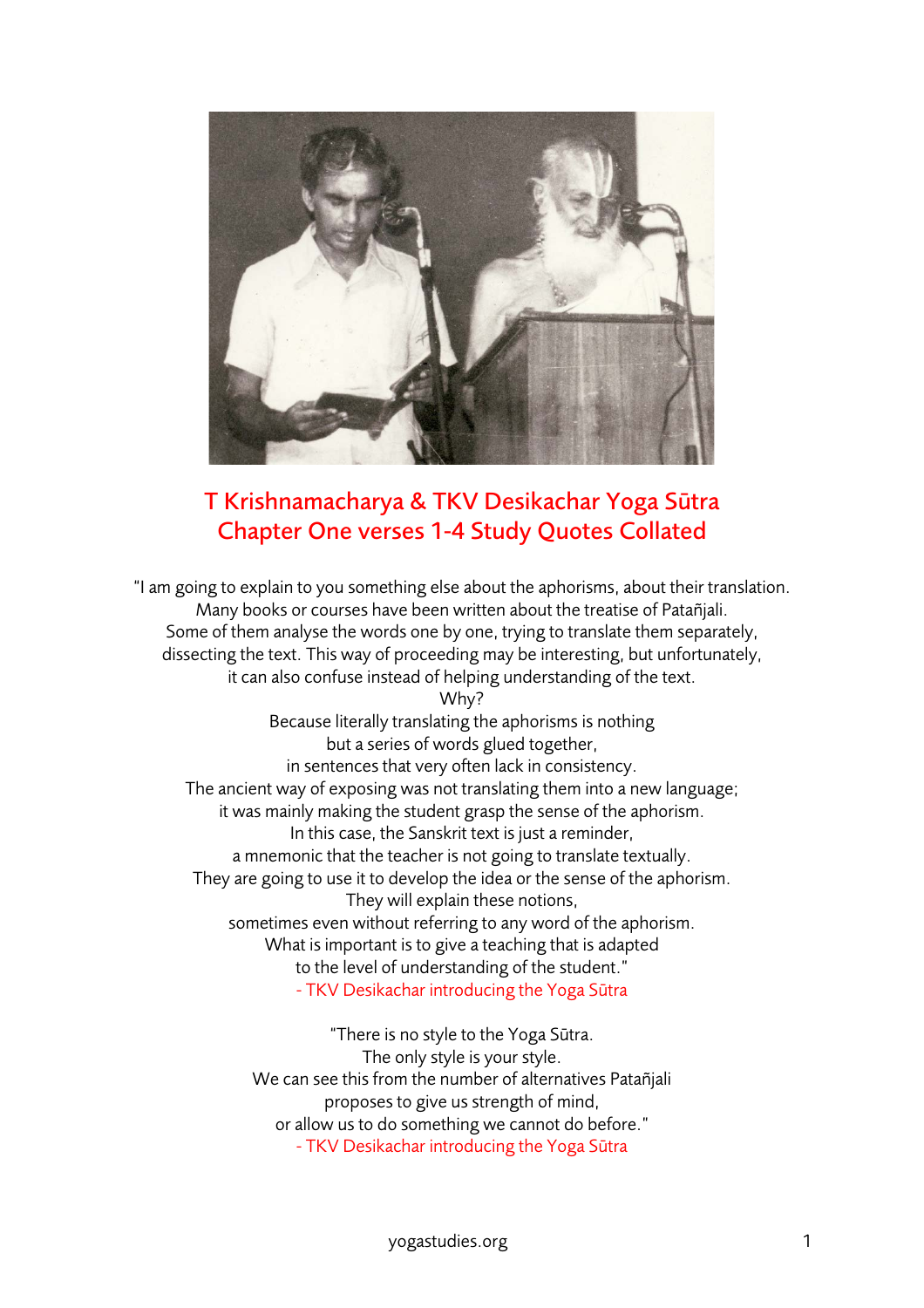

## T Krishnamacharya & TKV Desikachar Yoga Sūtra Chapter One verses 1-4 Study Quotes Collated

"I am going to explain to you something else about the aphorisms, about their translation. Many books or courses have been written about the treatise of Patañjali. Some of them analyse the words one by one, trying to translate them separately, dissecting the text. This way of proceeding may be interesting, but unfortunately, it can also confuse instead of helping understanding of the text.

Why? Because literally translating the aphorisms is nothing but a series of words glued together, in sentences that very often lack in consistency. The ancient way of exposing was not translating them into a new language; it was mainly making the student grasp the sense of the aphorism. In this case, the Sanskrit text is just a reminder, a mnemonic that the teacher is not going to translate textually. They are going to use it to develop the idea or the sense of the aphorism. They will explain these notions, sometimes even without referring to any word of the aphorism. What is important is to give a teaching that is adapted to the level of understanding of the student." - TKV Desikachar introducing the Yoga Sūtra

> "There is no style to the Yoga Sūtra. The only style is your style. We can see this from the number of alternatives Patañjali proposes to give us strength of mind, or allow us to do something we cannot do before." - TKV Desikachar introducing the Yoga Sūtra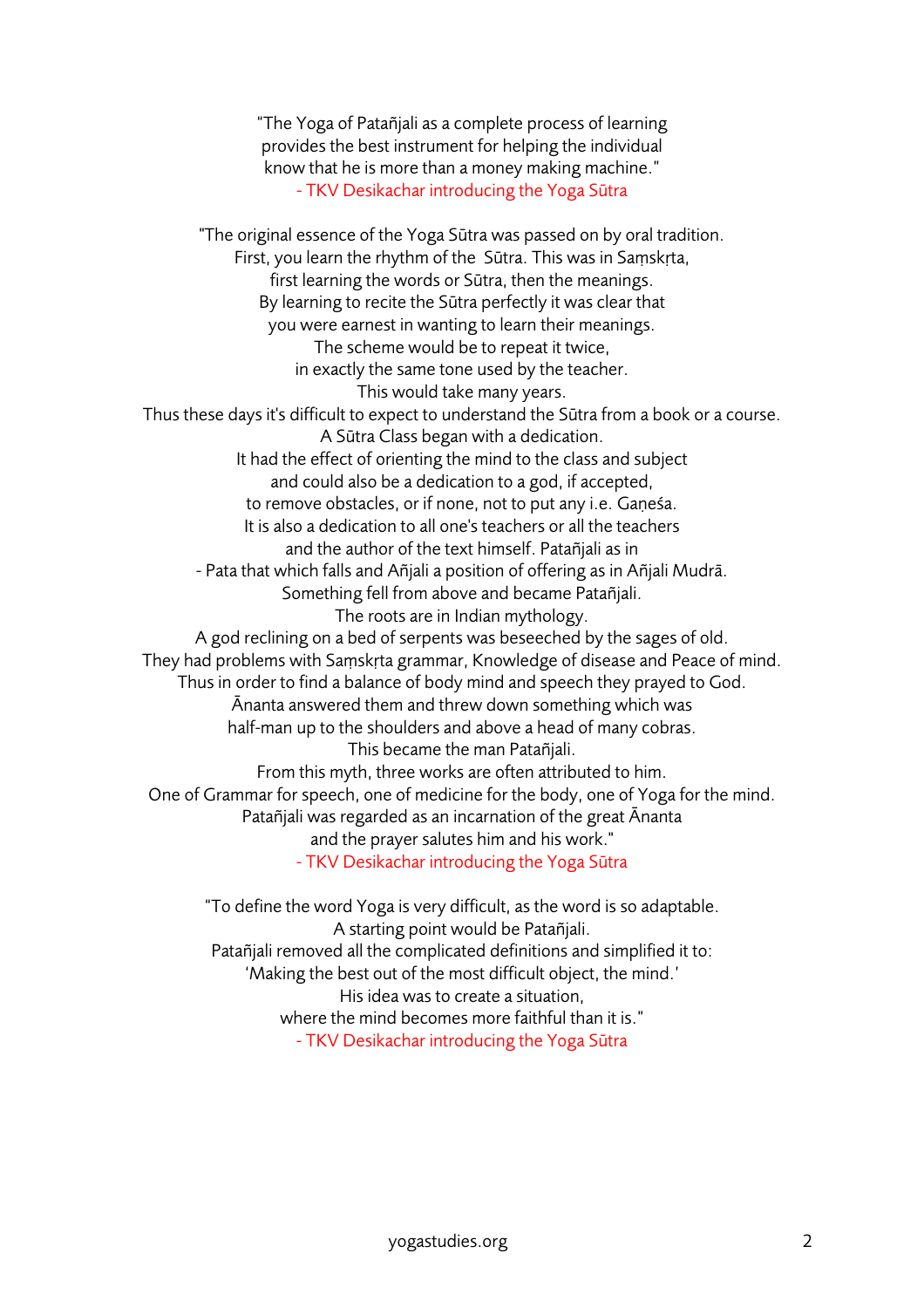"The Yoga of Patañjali as a complete process of learning provides the best instrument for helping the individual know that he is more than a money making machine." - TKV Desikachar introducing the Yoga Sūtra "The original essence of the Yoga Sūtra was passed on by oral tradition. First, you learn the rhythm of the Sūtra. This was in Saṃskṛta, first learning the words or Sūtra, then the meanings. By learning to recite the Sūtra perfectly it was clear that you were earnest in wanting to learn their meanings. The scheme would be to repeat it twice, in exactly the same tone used by the teacher. This would take many years. Thus these days it's difficult to expect to understand the Sūtra from a book or a course. A Sūtra Class began with a dedication. It had the effect of orienting the mind to the class and subject and could also be a dedication to a god, if accepted, to remove obstacles, or if none, not to put any i.e. Gaṇeśa. It is also a dedication to all one's teachers or all the teachers and the author of the text himself. Patañjali as in - Pata that which falls and Añjali a position of offering as in Añjali Mudrā. Something fell from above and became Patañjali. The roots are in Indian mythology. A god reclining on a bed of serpents was beseeched by the sages of old. They had problems with Saṃskṛta grammar, Knowledge of disease and Peace of mind. Thus in order to find a balance of body mind and speech they prayed to God. Ānanta answered them and threw down something which was half-man up to the shoulders and above a head of many cobras. This became the man Patañjali. From this myth, three works are often attributed to him. One of Grammar for speech, one of medicine for the body, one of Yoga for the mind. Patañjali was regarded as an incarnation of the great Ānanta and the prayer salutes him and his work." - TKV Desikachar introducing the Yoga Sūtra

"To define the word Yoga is very difficult, as the word is so adaptable. A starting point would be Patañjali. Patañjali removed all the complicated definitions and simplified it to: 'Making the best out of the most difficult object, the mind.' His idea was to create a situation, where the mind becomes more faithful than it is." - TKV Desikachar introducing the Yoga Sūtra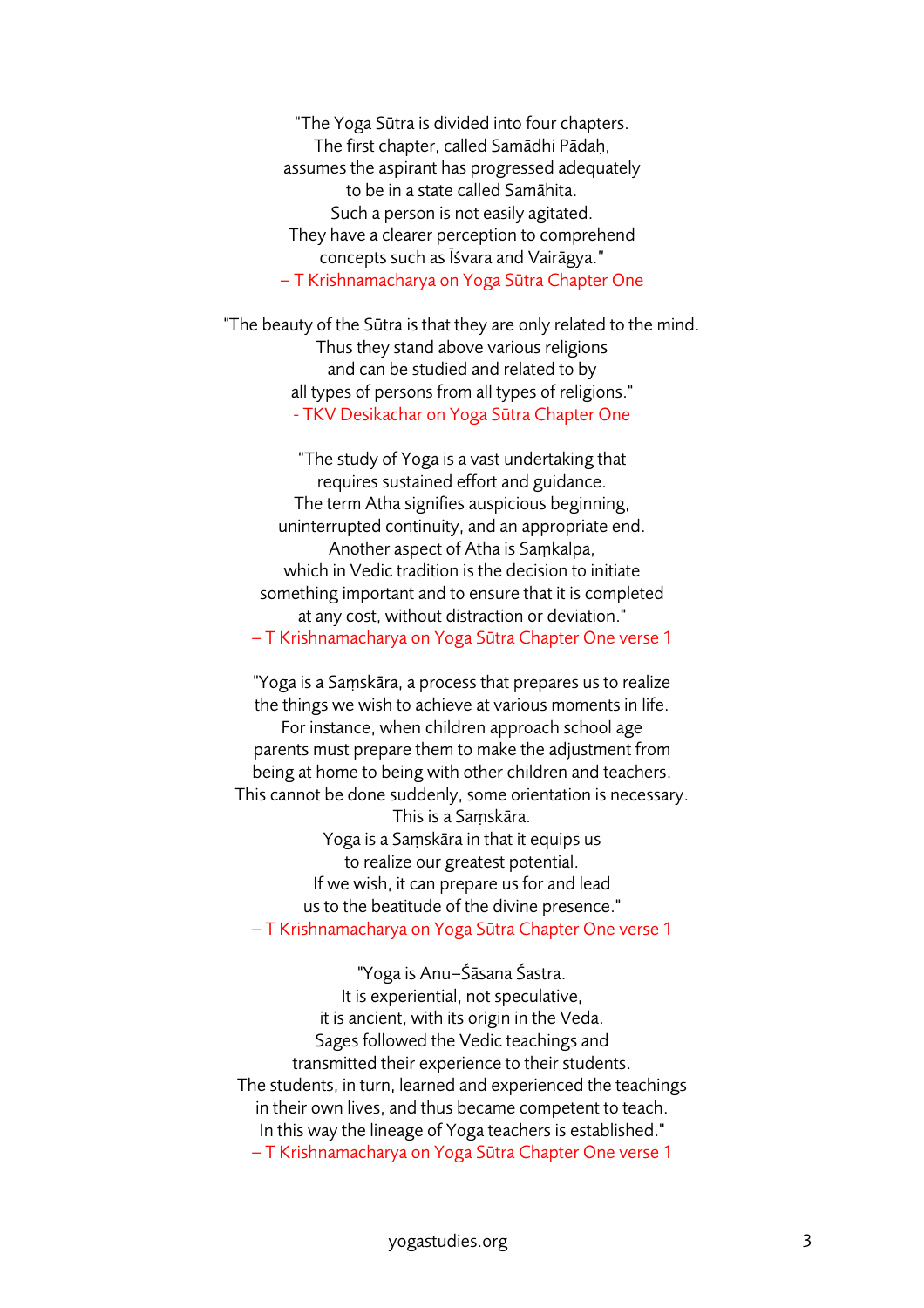"The Yoga Sūtra is divided into four chapters. The first chapter, called Samādhi Pādaḥ, assumes the aspirant has progressed adequately to be in a state called Samāhita. Such a person is not easily agitated. They have a clearer perception to comprehend concepts such as Īśvara and Vairāgya." – T Krishnamacharya on Yoga Sūtra Chapter One

"The beauty of the Sūtra is that they are only related to the mind. Thus they stand above various religions and can be studied and related to by all types of persons from all types of religions." - TKV Desikachar on Yoga Sūtra Chapter One

"The study of Yoga is a vast undertaking that requires sustained effort and guidance. The term Atha signifies auspicious beginning, uninterrupted continuity, and an appropriate end. Another aspect of Atha is Saṃkalpa, which in Vedic tradition is the decision to initiate something important and to ensure that it is completed at any cost, without distraction or deviation." – T Krishnamacharya on Yoga Sūtra Chapter One verse 1

"Yoga is a Saṃskāra, a process that prepares us to realize the things we wish to achieve at various moments in life. For instance, when children approach school age parents must prepare them to make the adjustment from being at home to being with other children and teachers. This cannot be done suddenly, some orientation is necessary. This is a Saṃskāra. Yoga is a Saṃskāra in that it equips us to realize our greatest potential. If we wish, it can prepare us for and lead us to the beatitude of the divine presence." – T Krishnamacharya on Yoga Sūtra Chapter One verse 1

"Yoga is Anu–Śāsana Śastra. It is experiential, not speculative, it is ancient, with its origin in the Veda. Sages followed the Vedic teachings and transmitted their experience to their students. The students, in turn, learned and experienced the teachings in their own lives, and thus became competent to teach. In this way the lineage of Yoga teachers is established." – T Krishnamacharya on Yoga Sūtra Chapter One verse 1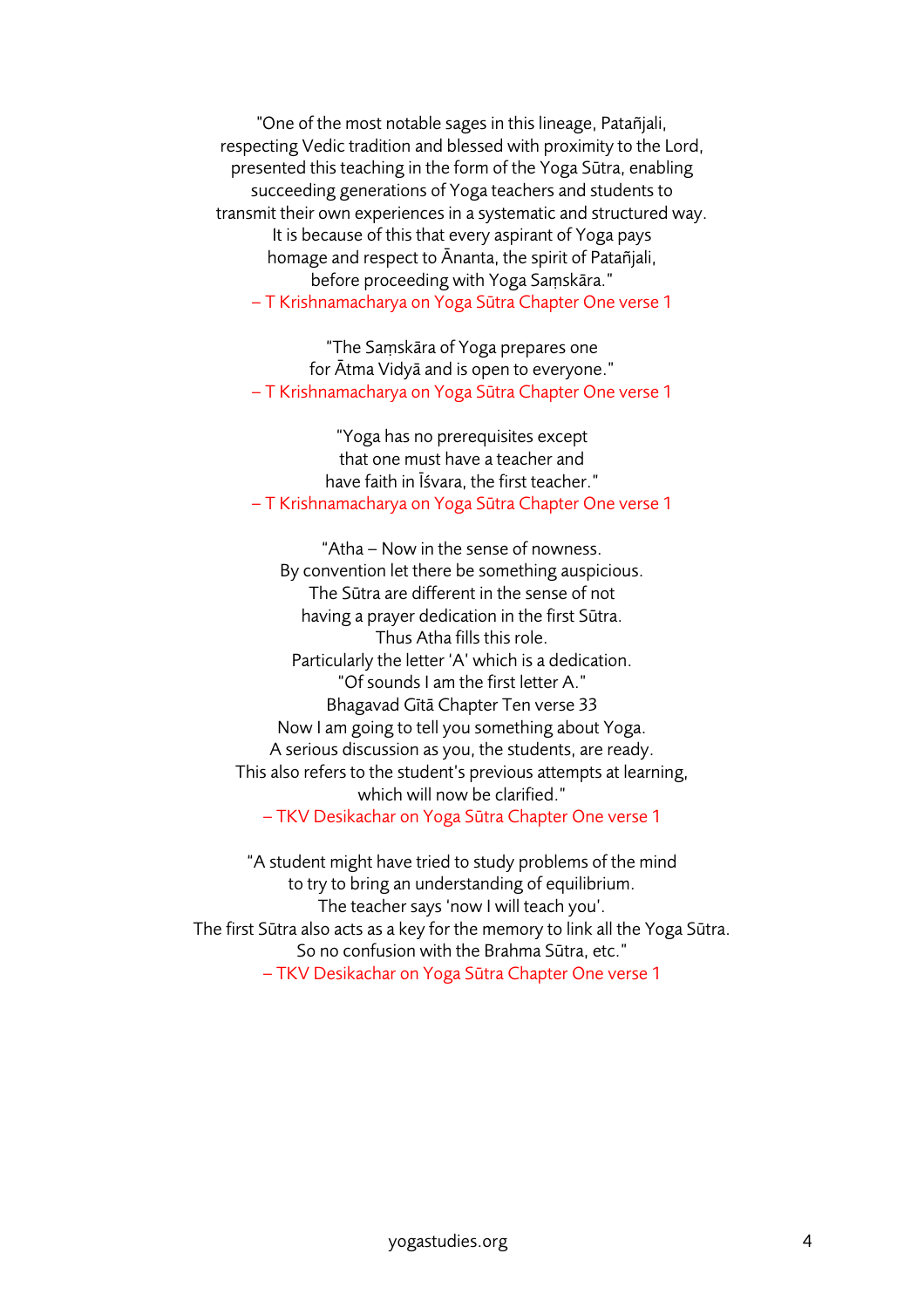"One of the most notable sages in this lineage, Patañjali, respecting Vedic tradition and blessed with proximity to the Lord, presented this teaching in the form of the Yoga Sūtra, enabling succeeding generations of Yoga teachers and students to transmit their own experiences in a systematic and structured way. It is because of this that every aspirant of Yoga pays homage and respect to Ānanta, the spirit of Patañjali, before proceeding with Yoga Saṃskāra." – T Krishnamacharya on Yoga Sūtra Chapter One verse 1

"The Saṃskāra of Yoga prepares one for Ātma Vidyā and is open to everyone." – T Krishnamacharya on Yoga Sūtra Chapter One verse 1

"Yoga has no prerequisites except that one must have a teacher and have faith in Īśvara, the first teacher." – T Krishnamacharya on Yoga Sūtra Chapter One verse 1

"Atha – Now in the sense of nowness. By convention let there be something auspicious. The Sūtra are different in the sense of not having a prayer dedication in the first Sūtra. Thus Atha fills this role. Particularly the letter 'A' which is a dedication. "Of sounds I am the first letter A." Bhagavad Gītā Chapter Ten verse 33 Now I am going to tell you something about Yoga. A serious discussion as you, the students, are ready. This also refers to the student's previous attempts at learning, which will now be clarified." – TKV Desikachar on Yoga Sūtra Chapter One verse 1

"A student might have tried to study problems of the mind to try to bring an understanding of equilibrium. The teacher says 'now I will teach you'. The first Sūtra also acts as a key for the memory to link all the Yoga Sūtra. So no confusion with the Brahma Sūtra, etc." – TKV Desikachar on Yoga Sūtra Chapter One verse 1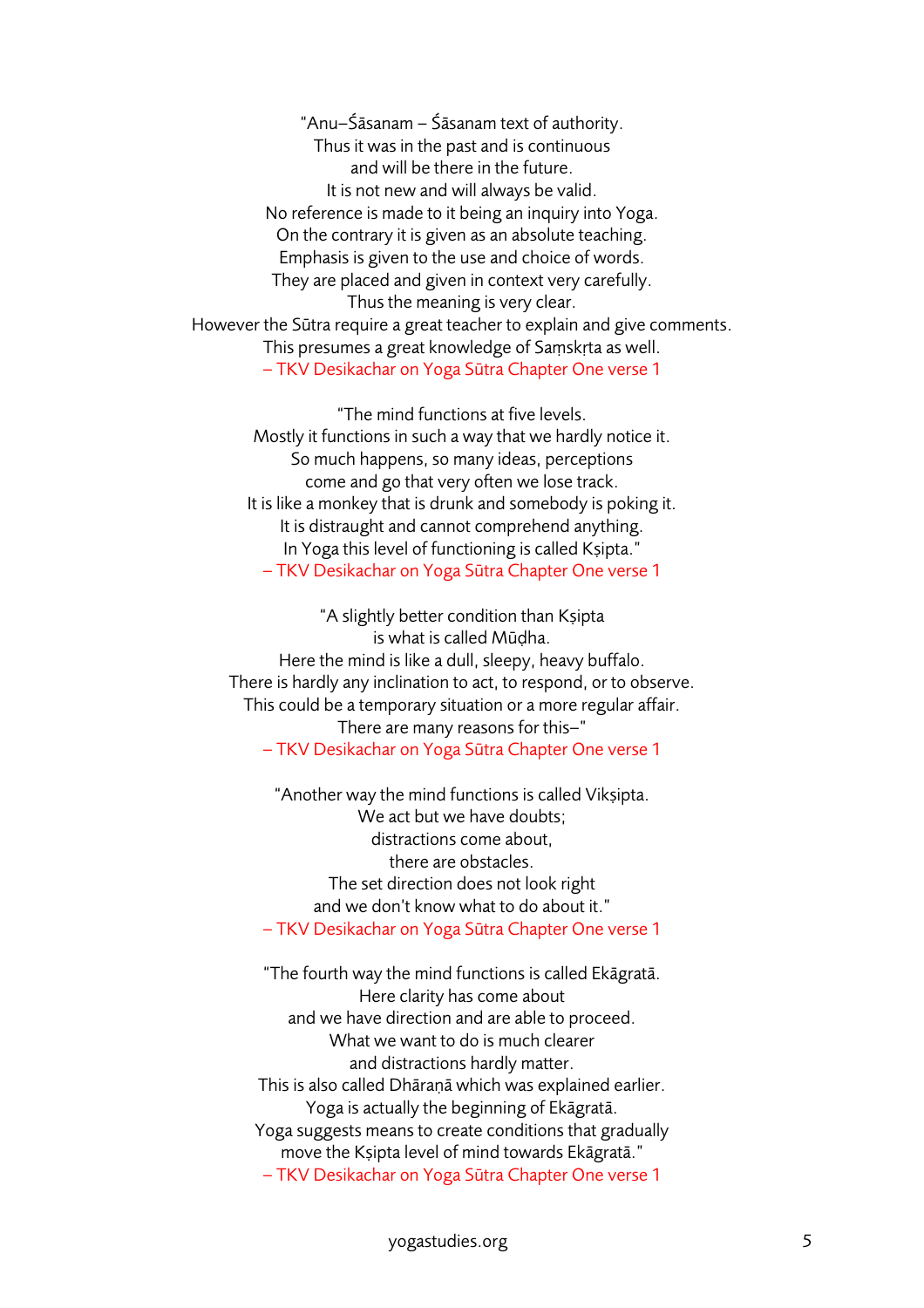"Anu–Śāsanam – Śāsanam text of authority. Thus it was in the past and is continuous and will be there in the future. It is not new and will always be valid. No reference is made to it being an inquiry into Yoga. On the contrary it is given as an absolute teaching. Emphasis is given to the use and choice of words. They are placed and given in context very carefully. Thus the meaning is very clear. However the Sūtra require a great teacher to explain and give comments. This presumes a great knowledge of Saṃskṛta as well. – TKV Desikachar on Yoga Sūtra Chapter One verse 1

"The mind functions at five levels. Mostly it functions in such a way that we hardly notice it. So much happens, so many ideas, perceptions come and go that very often we lose track. It is like a monkey that is drunk and somebody is poking it. It is distraught and cannot comprehend anything. In Yoga this level of functioning is called Kṣipta." – TKV Desikachar on Yoga Sūtra Chapter One verse 1

"A slightly better condition than Kṣipta is what is called Mūḍha. Here the mind is like a dull, sleepy, heavy buffalo. There is hardly any inclination to act, to respond, or to observe. This could be a temporary situation or a more regular affair. There are many reasons for this–" – TKV Desikachar on Yoga Sūtra Chapter One verse 1

"Another way the mind functions is called Viksipta. We act but we have doubts; distractions come about, there are obstacles. The set direction does not look right and we don't know what to do about it." – TKV Desikachar on Yoga Sūtra Chapter One verse 1

"The fourth way the mind functions is called Ekāgratā. Here clarity has come about and we have direction and are able to proceed. What we want to do is much clearer and distractions hardly matter. This is also called Dhāraṇā which was explained earlier. Yoga is actually the beginning of Ekāgratā. Yoga suggests means to create conditions that gradually move the Kṣipta level of mind towards Ekāgratā." – TKV Desikachar on Yoga Sūtra Chapter One verse 1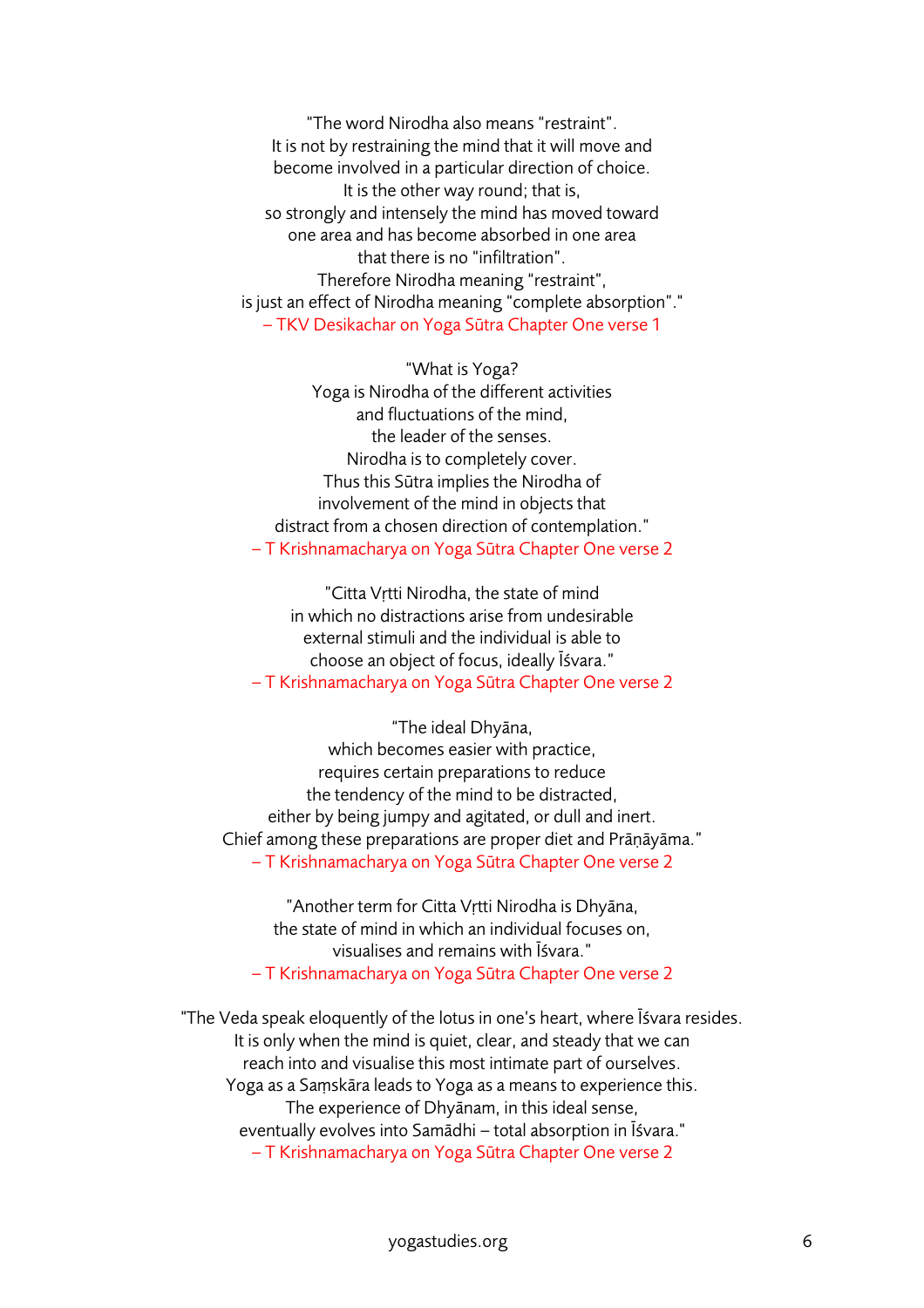"The word Nirodha also means "restraint". It is not by restraining the mind that it will move and become involved in a particular direction of choice. It is the other way round; that is, so strongly and intensely the mind has moved toward one area and has become absorbed in one area that there is no "infiltration". Therefore Nirodha meaning "restraint", is just an effect of Nirodha meaning "complete absorption"." – TKV Desikachar on Yoga Sūtra Chapter One verse 1

"What is Yoga? Yoga is Nirodha of the different activities and fluctuations of the mind, the leader of the senses. Nirodha is to completely cover. Thus this Sūtra implies the Nirodha of involvement of the mind in objects that distract from a chosen direction of contemplation." – T Krishnamacharya on Yoga Sūtra Chapter One verse 2

"Citta Vṛtti Nirodha, the state of mind in which no distractions arise from undesirable external stimuli and the individual is able to choose an object of focus, ideally Īśvara." – T Krishnamacharya on Yoga Sūtra Chapter One verse 2

"The ideal Dhyāna,

which becomes easier with practice, requires certain preparations to reduce the tendency of the mind to be distracted, either by being jumpy and agitated, or dull and inert. Chief among these preparations are proper diet and Prāṇāyāma." – T Krishnamacharya on Yoga Sūtra Chapter One verse 2

"Another term for Citta Vṛtti Nirodha is Dhyāna, the state of mind in which an individual focuses on, visualises and remains with Īśvara." – T Krishnamacharya on Yoga Sūtra Chapter One verse 2

"The Veda speak eloquently of the lotus in one's heart, where Īśvara resides. It is only when the mind is quiet, clear, and steady that we can reach into and visualise this most intimate part of ourselves. Yoga as a Saṃskāra leads to Yoga as a means to experience this. The experience of Dhyānam, in this ideal sense, eventually evolves into Samādhi – total absorption in Īśvara." – T Krishnamacharya on Yoga Sūtra Chapter One verse 2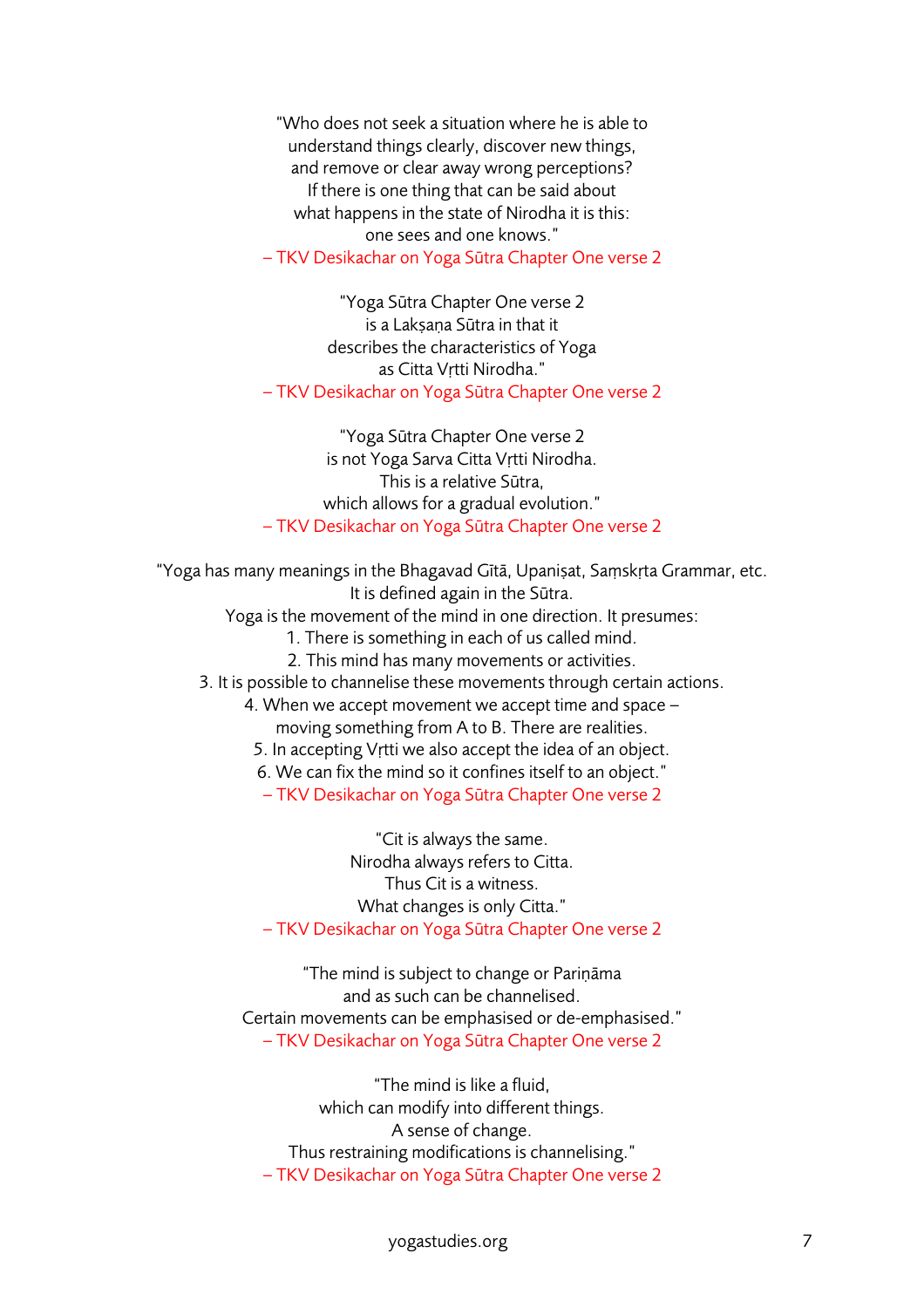"Who does not seek a situation where he is able to understand things clearly, discover new things, and remove or clear away wrong perceptions? If there is one thing that can be said about what happens in the state of Nirodha it is this: one sees and one knows." – TKV Desikachar on Yoga Sūtra Chapter One verse 2

"Yoga Sūtra Chapter One verse 2 is a Lakṣaṇa Sūtra in that it describes the characteristics of Yoga as Citta Vṛtti Nirodha." – TKV Desikachar on Yoga Sūtra Chapter One verse 2

"Yoga Sūtra Chapter One verse 2 is not Yoga Sarva Citta Vṛtti Nirodha. This is a relative Sūtra, which allows for a gradual evolution." – TKV Desikachar on Yoga Sūtra Chapter One verse 2

"Yoga has many meanings in the Bhagavad Gītā, Upaniṣat, Saṃskṛta Grammar, etc.

It is defined again in the Sūtra.

Yoga is the movement of the mind in one direction. It presumes:

- 1. There is something in each of us called mind.
- 2. This mind has many movements or activities.
- 3. It is possible to channelise these movements through certain actions.
	- 4. When we accept movement we accept time and space moving something from A to B. There are realities.
	- 5. In accepting Vṛtti we also accept the idea of an object.
	- 6. We can fix the mind so it confines itself to an object."
	- TKV Desikachar on Yoga Sūtra Chapter One verse 2

"Cit is always the same. Nirodha always refers to Citta. Thus Cit is a witness. What changes is only Citta." – TKV Desikachar on Yoga Sūtra Chapter One verse 2

"The mind is subject to change or Pariṇāma and as such can be channelised. Certain movements can be emphasised or de-emphasised." – TKV Desikachar on Yoga Sūtra Chapter One verse 2

"The mind is like a fluid, which can modify into different things. A sense of change. Thus restraining modifications is channelising." – TKV Desikachar on Yoga Sūtra Chapter One verse 2

yogastudies.org 7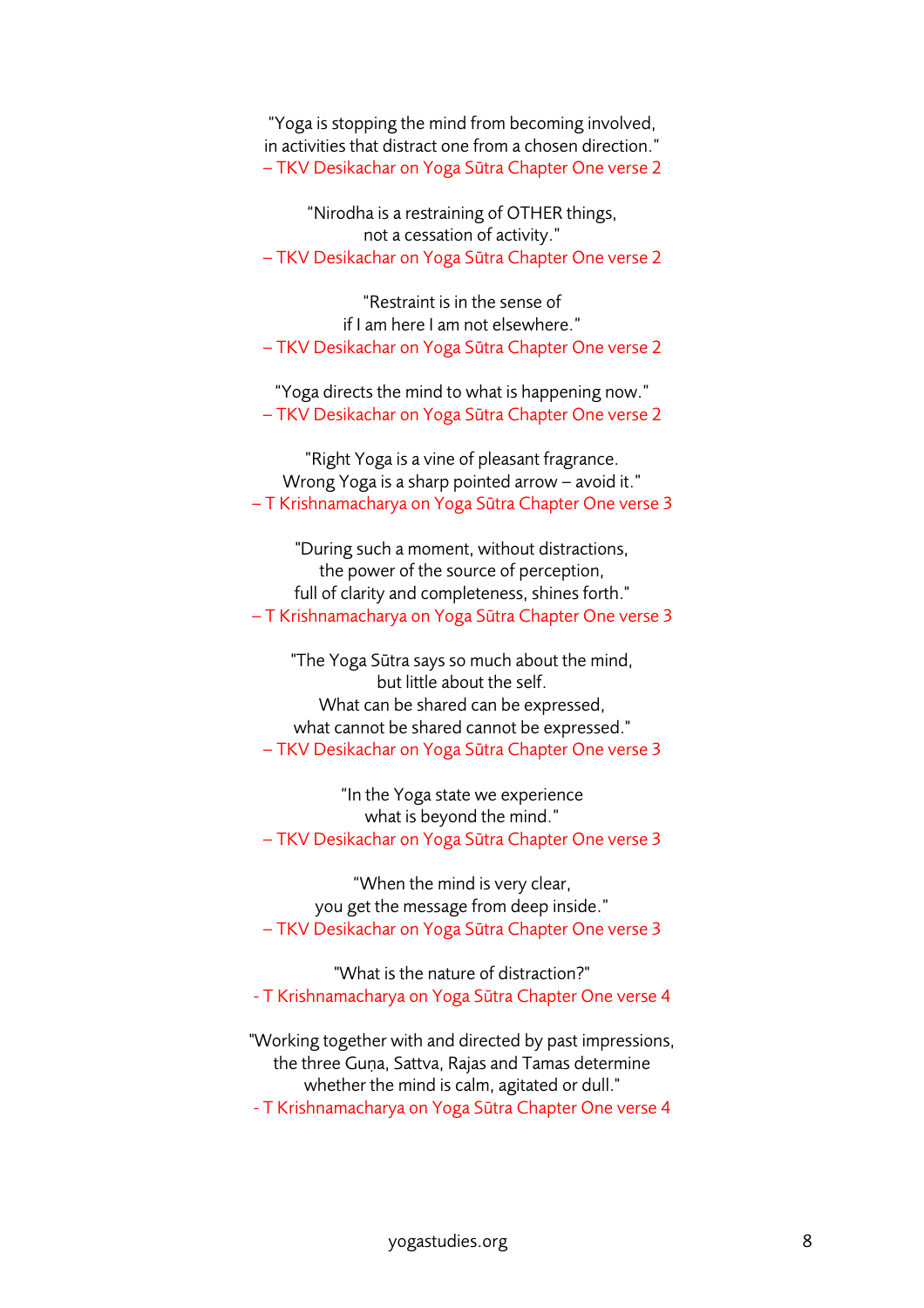"Yoga is stopping the mind from becoming involved, in activities that distract one from a chosen direction." – TKV Desikachar on Yoga Sūtra Chapter One verse 2

"Nirodha is a restraining of OTHER things, not a cessation of activity." – TKV Desikachar on Yoga Sūtra Chapter One verse 2

"Restraint is in the sense of if I am here I am not elsewhere." – TKV Desikachar on Yoga Sūtra Chapter One verse 2

"Yoga directs the mind to what is happening now." – TKV Desikachar on Yoga Sūtra Chapter One verse 2

"Right Yoga is a vine of pleasant fragrance. Wrong Yoga is a sharp pointed arrow – avoid it." – T Krishnamacharya on Yoga Sūtra Chapter One verse 3

"During such a moment, without distractions, the power of the source of perception, full of clarity and completeness, shines forth." – T Krishnamacharya on Yoga Sūtra Chapter One verse 3

"The Yoga Sūtra says so much about the mind, but little about the self. What can be shared can be expressed, what cannot be shared cannot be expressed." – TKV Desikachar on Yoga Sūtra Chapter One verse 3

"In the Yoga state we experience what is beyond the mind." – TKV Desikachar on Yoga Sūtra Chapter One verse 3

"When the mind is very clear, you get the message from deep inside." – TKV Desikachar on Yoga Sūtra Chapter One verse 3

"What is the nature of distraction?" - T Krishnamacharya on Yoga Sūtra Chapter One verse 4

"Working together with and directed by past impressions, the three Guna, Sattva, Rajas and Tamas determine whether the mind is calm, agitated or dull." - T Krishnamacharya on Yoga Sūtra Chapter One verse 4

yogastudies.org 8